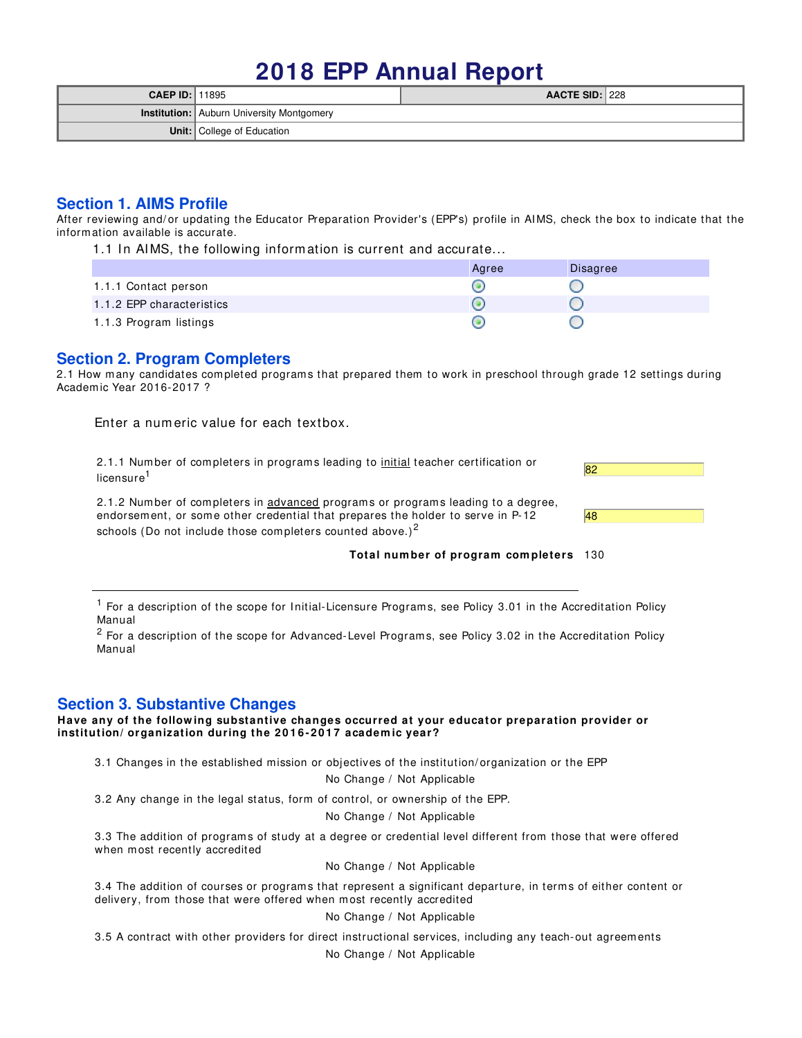# **2018 EPP Annual Report**

| <b>CAEP ID:</b> $11895$ |                                                  | AACTE SID: 228 |  |
|-------------------------|--------------------------------------------------|----------------|--|
|                         | <b>Institution:</b> Auburn University Montgomery |                |  |
|                         | <b>Unit:</b> College of Education                |                |  |

## **Section 1. AIMS Profile**

After reviewing and/ or updating the Educator Preparation Provider's (EPP's) profile in AIMS, check the box to indicate that the inform ation available is accurate.

1.1 In AIMS, the following information is current and accurate...

|                           | Agree | <b>Disagree</b> |
|---------------------------|-------|-----------------|
| 1.1.1 Contact person      |       |                 |
| 1.1.2 EPP characteristics |       |                 |
| 1.1.3 Program listings    |       |                 |

# **Section 2. Program Completers**

2.1 How many candidates completed programs that prepared them to work in preschool through grade 12 settings during Academ ic Year 2016-2017 ?

Enter a num eric value for each textbox.

2.1.1 Number of completers in programs leading to initial teacher certification or licensure<sup>1</sup>

2.1.2 Number of completers in advanced programs or programs leading to a degree, endorsem ent, or som e other credential that prepares the holder to serve in P-12 schools (Do not include those completers counted above.)<sup>2</sup>



**Total num ber of program com pleters** 130

<sup>1</sup> For a description of the scope for Initial-Licensure Programs, see Policy 3.01 in the Accreditation Policy Manual

 $^2$  For a description of the scope for Advanced-Level Programs, see Policy 3.02 in the Accreditation Policy Manual

## **Section 3. Substantive Changes**

**Have any of the follow ing substantive changes occurred at your educator preparation provider or institution/ organization during the 2 0 1 6 - 20 1 7 academ ic year?**

3.1 Changes in the established mission or objectives of the institution/ organization or the EPP

No Change / Not Applicable

3.2 Any change in the legal status, form of control, or ownership of the EPP.

No Change / Not Applicable

3.3 The addition of program s of study at a degree or credential level different from those that were offered when most recently accredited

No Change / Not Applicable

3.4 The addition of courses or program s that represent a significant departure, in term s of either content or delivery, from those that were offered when most recently accredited

No Change / Not Applicable

3.5 A contract with other providers for direct instructional services, including any teach-out agreem ents No Change / Not Applicable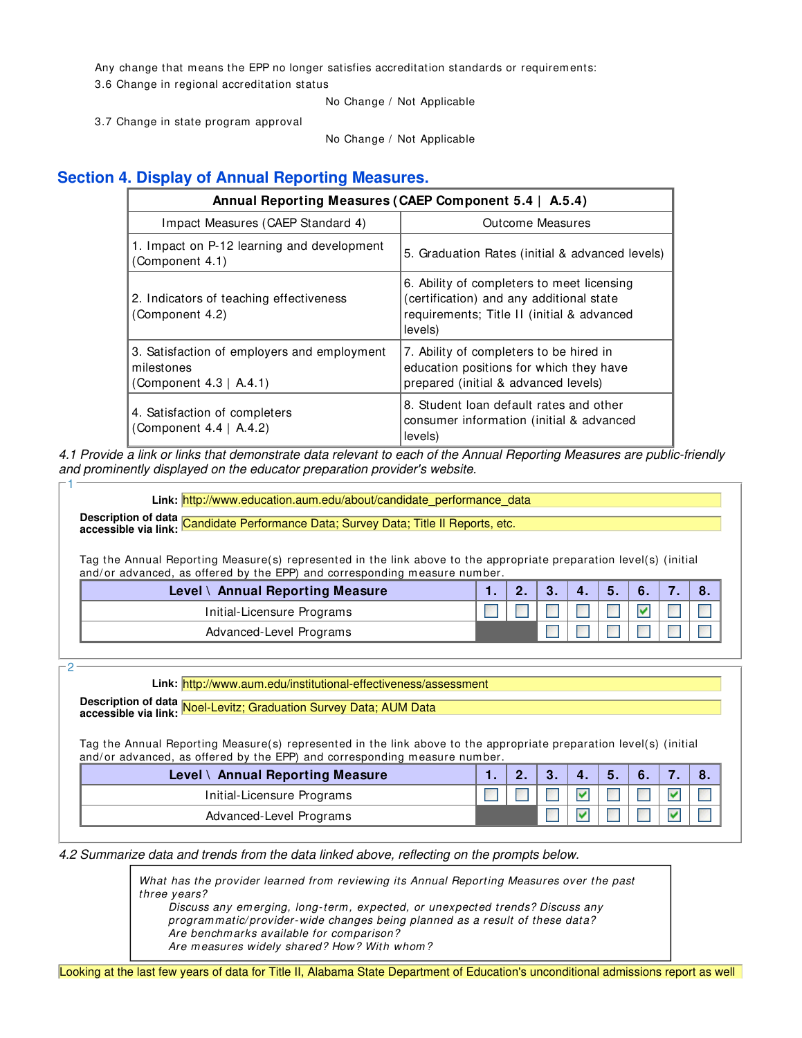Any change that means the EPP no longer satisfies accreditation standards or requirements: 3.6 Change in regional accreditation status

No Change / Not Applicable

3.7 Change in state program approval

No Change / Not Applicable

# **Section 4. Display of Annual Reporting Measures.**

|                                                                                     | Annual Reporting Measures (CAEP Component 5.4   A.5.4)                                                                                          |
|-------------------------------------------------------------------------------------|-------------------------------------------------------------------------------------------------------------------------------------------------|
| Impact Measures (CAEP Standard 4)                                                   | Outcome Measures                                                                                                                                |
| 1. Impact on P-12 learning and development<br>Component 4.1)                        | 5. Graduation Rates (initial & advanced levels)                                                                                                 |
| 2. Indicators of teaching effectiveness<br>(Component 4.2)                          | 6. Ability of completers to meet licensing<br>(certification) and any additional state<br>requirements; Title II (initial & advanced<br>levels) |
| 3. Satisfaction of employers and employment<br>milestones<br>Component 4.3   A.4.1) | 7. Ability of completers to be hired in<br>education positions for which they have<br>prepared (initial & advanced levels)                      |
| 4. Satisfaction of completers<br>(Component 4.4   A.4.2)                            | 8. Student loan default rates and other<br>consumer information (initial & advanced<br>levels)                                                  |

4.1 Provide a link or links that demonstrate data relevant to each of the Annual Reporting Measures are public-friendly and prominently displayed on the educator preparation provider's website.

Link: http://www.education.aum.edu/about/candidate\_performance\_data

**Description of data accessible via link:** Candidate Performance Data; Survey Data; Title II Reports, etc.

Tag the Annual Reporting Measure(s) represented in the link above to the appropriate preparation level(s) (initial and/ or advanced, as offered by the EPP) and corresponding measure number.

| Level \ Annual Reporting Measure |  |  | 5. | 6. |  |
|----------------------------------|--|--|----|----|--|
| Initial-Licensure Programs       |  |  |    |    |  |
| Advanced-Level Programs          |  |  |    |    |  |

2

1

**Link:** http://www.aum.edu/institutional-effectiveness/assessment

**Description of data accessible via link:** Noel-Levitz; Graduation Survey Data; AUM Data

Tag the Annual Reporting Measure(s) represented in the link above to the appropriate preparation level(s) (initial and/or advanced, as offered by the EPP) and corresponding measure number.

| Level \ Annual Reporting Measure |  | 4. | 5. |  |  |
|----------------------------------|--|----|----|--|--|
| Initial-Licensure Programs       |  |    |    |  |  |
| Advanced-Level Programs          |  |    |    |  |  |

4.2 Summarize data and trends from the data linked above, reflecting on the prompts below.

What has the provider learned from reviewing its Annual Reporting Measures over the past three years?

Discuss any em erging, long-term , expected, or unexpected trends? Discuss any program matic/ provider-wide changes being planned as a result of these data? Are benchm arks available for comparison? Are measures widely shared? How? With whom?

Looking at the last few years of data for Title II, Alabama State Department of Education's unconditional admissions report as well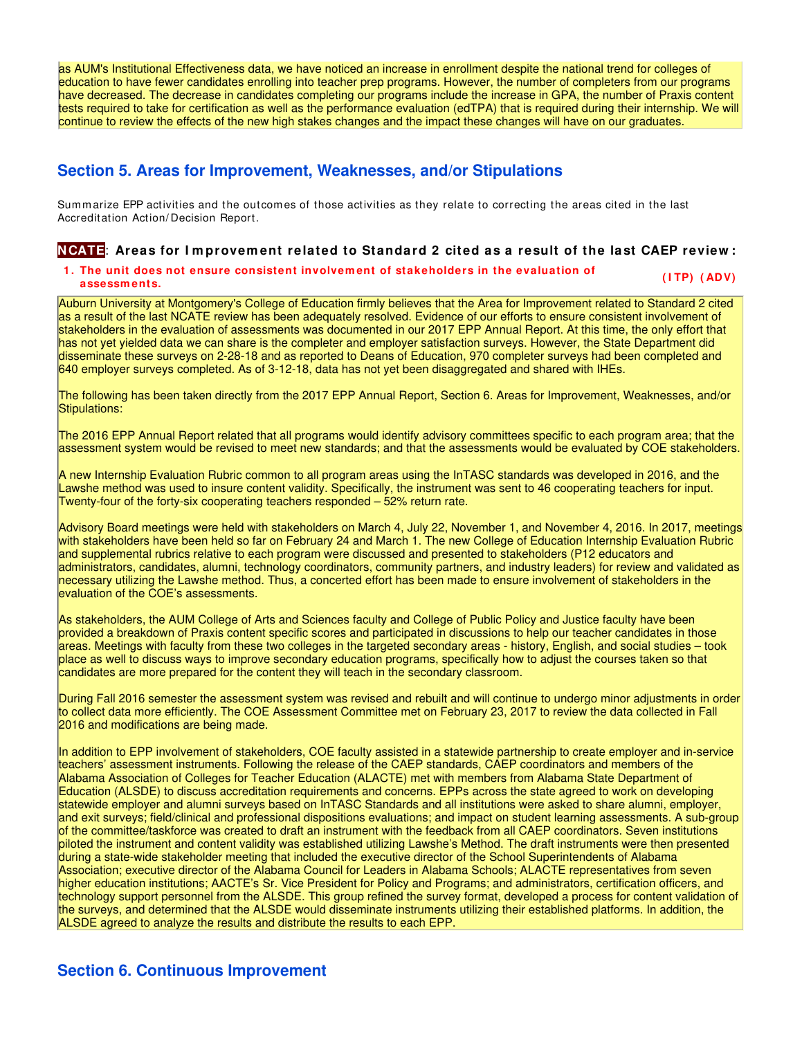as AUM's Institutional Effectiveness data, we have noticed an increase in enrollment despite the national trend for colleges of education to have fewer candidates enrolling into teacher prep programs. However, the number of completers from our programs have decreased. The decrease in candidates completing our programs include the increase in GPA, the number of Praxis content tests required to take for certification as well as the performance evaluation (edTPA) that is required during their internship. We will continue to review the effects of the new high stakes changes and the impact these changes will have on our graduates.

## **Section 5. Areas for Improvement, Weaknesses, and/or Stipulations**

Summarize EPP activities and the outcomes of those activities as they relate to correcting the areas cited in the last Accreditation Action/ Decision Report.

## **NCATE**: **Areas for I m provem ent related to Standard 2 cited as a result of the last CAEP review :**

# **1 . The unit does not ensure consistent involvem ent of stakeholders in the evaluation of assessm ents. ( I TP) ( ADV)**

Auburn University at Montgomery's College of Education firmly believes that the Area for Improvement related to Standard 2 cited as a result of the last NCATE review has been adequately resolved. Evidence of our efforts to ensure consistent involvement of stakeholders in the evaluation of assessments was documented in our 2017 EPP Annual Report. At this time, the only effort that has not yet yielded data we can share is the completer and employer satisfaction surveys. However, the State Department did disseminate these surveys on 2-28-18 and as reported to Deans of Education, 970 completer surveys had been completed and 640 employer surveys completed. As of 3-12-18, data has not yet been disaggregated and shared with IHEs.

The following has been taken directly from the 2017 EPP Annual Report, Section 6. Areas for Improvement, Weaknesses, and/or Stipulations:

The 2016 EPP Annual Report related that all programs would identify advisory committees specific to each program area; that the assessment system would be revised to meet new standards; and that the assessments would be evaluated by COE stakeholders.

A new Internship Evaluation Rubric common to all program areas using the InTASC standards was developed in 2016, and the Lawshe method was used to insure content validity. Specifically, the instrument was sent to 46 cooperating teachers for input. Twenty-four of the forty-six cooperating teachers responded – 52% return rate.

Advisory Board meetings were held with stakeholders on March 4, July 22, November 1, and November 4, 2016. In 2017, meetings with stakeholders have been held so far on February 24 and March 1. The new College of Education Internship Evaluation Rubric and supplemental rubrics relative to each program were discussed and presented to stakeholders (P12 educators and administrators, candidates, alumni, technology coordinators, community partners, and industry leaders) for review and validated as necessary utilizing the Lawshe method. Thus, a concerted effort has been made to ensure involvement of stakeholders in the evaluation of the COE's assessments.

As stakeholders, the AUM College of Arts and Sciences faculty and College of Public Policy and Justice faculty have been provided a breakdown of Praxis content specific scores and participated in discussions to help our teacher candidates in those areas. Meetings with faculty from these two colleges in the targeted secondary areas - history, English, and social studies – took place as well to discuss ways to improve secondary education programs, specifically how to adjust the courses taken so that candidates are more prepared for the content they will teach in the secondary classroom.

During Fall 2016 semester the assessment system was revised and rebuilt and will continue to undergo minor adjustments in order to collect data more efficiently. The COE Assessment Committee met on February 23, 2017 to review the data collected in Fall 2016 and modifications are being made.

In addition to EPP involvement of stakeholders, COE faculty assisted in a statewide partnership to create employer and in-service teachers' assessment instruments. Following the release of the CAEP standards, CAEP coordinators and members of the Alabama Association of Colleges for Teacher Education (ALACTE) met with members from Alabama State Department of Education (ALSDE) to discuss accreditation requirements and concerns. EPPs across the state agreed to work on developing statewide employer and alumni surveys based on InTASC Standards and all institutions were asked to share alumni, employer, and exit surveys; field/clinical and professional dispositions evaluations; and impact on student learning assessments. A sub-group of the committee/taskforce was created to draft an instrument with the feedback from all CAEP coordinators. Seven institutions piloted the instrument and content validity was established utilizing Lawshe's Method. The draft instruments were then presented during a state-wide stakeholder meeting that included the executive director of the School Superintendents of Alabama Association; executive director of the Alabama Council for Leaders in Alabama Schools; ALACTE representatives from seven higher education institutions; AACTE's Sr. Vice President for Policy and Programs; and administrators, certification officers, and technology support personnel from the ALSDE. This group refined the survey format, developed a process for content validation of the surveys, and determined that the ALSDE would disseminate instruments utilizing their established platforms. In addition, the ALSDE agreed to analyze the results and distribute the results to each EPP.

## **Section 6. Continuous Improvement**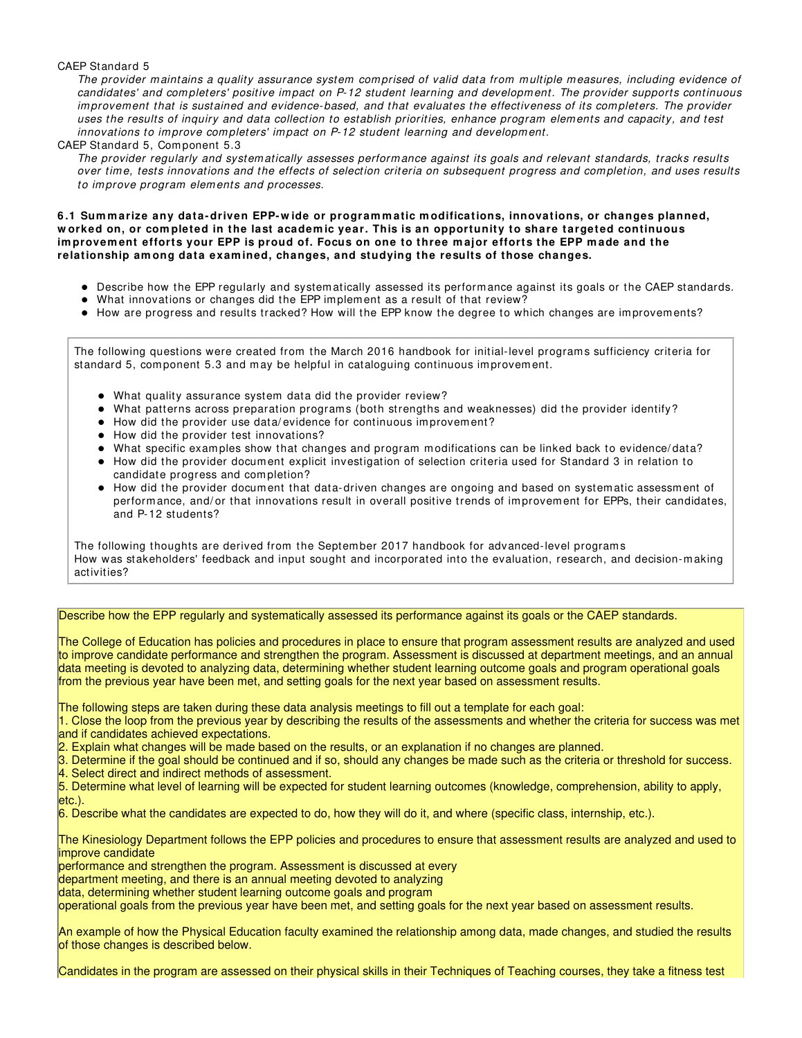#### CAEP Standard 5

The provider maintains a quality assurance system comprised of valid data from multiple measures, including evidence of candidates' and completers' positive impact on P-12 student learning and development. The provider supports continuous im provement that is sustained and evidence-based, and that evaluates the effectiveness of its completers. The provider uses the results of inquiry and data collection to establish priorities, enhance program elements and capacity, and test innovations to improve completers' impact on P-12 student learning and development.

#### CAEP Standard 5, Component 5.3

The provider regularly and system atically assesses perform ance against its goals and relevant standards, tracks results over time, tests innovations and the effects of selection criteria on subsequent progress and completion, and uses results to im prove program elem ents and processes.

**6 .1 Sum m arize any data- driven EPP- w ide or program m atic m odifications, innovations, or changes planned, w orked on, or com pleted in the last academ ic year. This is an opportunity to share targeted continuous im provem ent efforts your EPP is proud of. Focus on one to three m ajor efforts the EPP m ade and the relationship am ong data exam ined, changes, and studying the results of those changes.**

- Describe how the EPP regularly and system atically assessed its perform ance against its goals or the CAEP standards.
- What innovations or changes did the EPP implement as a result of that review?
- $\bullet$  How are progress and results tracked? How will the EPP know the degree to which changes are improvements?

The following questions were created from the March 2016 handbook for initial-level programs sufficiency criteria for standard 5, component 5.3 and may be helpful in cataloguing continuous improvement.

- What quality assurance system data did the provider review?
- What patterns across preparation programs (both strengths and weaknesses) did the provider identify?
- How did the provider use data/ evidence for continuous im provem ent?
- How did the provider test innovations?
- What specific examples show that changes and program modifications can be linked back to evidence/data?
- How did the provider docum ent explicit investigation of selection criteria used for Standard 3 in relation to candidate progress and com pletion?
- How did the provider document that data-driven changes are ongoing and based on systematic assessment of perform ance, and/ or that innovations result in overall positive trends of improvement for EPPs, their candidates, and P-12 students?

The following thoughts are derived from the Septem ber 2017 handbook for advanced-level program s How was stakeholders' feedback and input sought and incorporated into the evaluation, research, and decision-making activities?

#### Describe how the EPP regularly and systematically assessed its performance against its goals or the CAEP standards.

The College of Education has policies and procedures in place to ensure that program assessment results are analyzed and used to improve candidate performance and strengthen the program. Assessment is discussed at department meetings, and an annual data meeting is devoted to analyzing data, determining whether student learning outcome goals and program operational goals from the previous year have been met, and setting goals for the next year based on assessment results.

The following steps are taken during these data analysis meetings to fill out a template for each goal:

1. Close the loop from the previous year by describing the results of the assessments and whether the criteria for success was met and if candidates achieved expectations.

2. Explain what changes will be made based on the results, or an explanation if no changes are planned.

- 3. Determine if the goal should be continued and if so, should any changes be made such as the criteria or threshold for success.
- 4. Select direct and indirect methods of assessment.
- 5. Determine what level of learning will be expected for student learning outcomes (knowledge, comprehension, ability to apply,
- etc.).

6. Describe what the candidates are expected to do, how they will do it, and where (specific class, internship, etc.).

The Kinesiology Department follows the EPP policies and procedures to ensure that assessment results are analyzed and used to improve candidate

performance and strengthen the program. Assessment is discussed at every

department meeting, and there is an annual meeting devoted to analyzing

data, determining whether student learning outcome goals and program

operational goals from the previous year have been met, and setting goals for the next year based on assessment results.

An example of how the Physical Education faculty examined the relationship among data, made changes, and studied the results of those changes is described below.

Candidates in the program are assessed on their physical skills in their Techniques of Teaching courses, they take a fitness test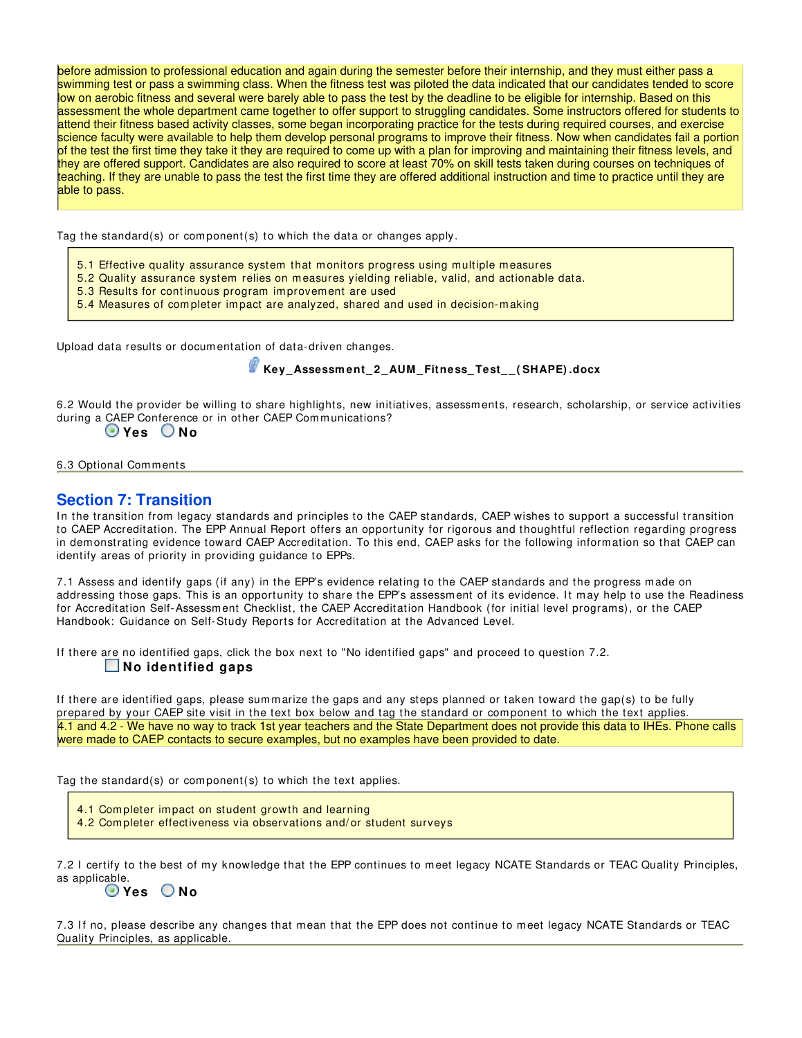before admission to professional education and again during the semester before their internship, and they must either pass a swimming test or pass a swimming class. When the fitness test was piloted the data indicated that our candidates tended to score low on aerobic fitness and several were barely able to pass the test by the deadline to be eligible for internship. Based on this assessment the whole department came together to offer support to struggling candidates. Some instructors offered for students to attend their fitness based activity classes, some began incorporating practice for the tests during required courses, and exercise science faculty were available to help them develop personal programs to improve their fitness. Now when candidates fail a portion of the test the first time they take it they are required to come up with a plan for improving and maintaining their fitness levels, and they are offered support. Candidates are also required to score at least 70% on skill tests taken during courses on techniques of teaching. If they are unable to pass the test the first time they are offered additional instruction and time to practice until they are able to pass.

Tag the standard(s) or com ponent(s) to which the data or changes apply.

- 5.1 Effective quality assurance system that monitors progress using multiple measures
- 5.2 Quality assurance system relies on m easures yielding reliable, valid, and actionable data.
- 5.3 Results for continuous program im provement are used
- 5.4 Measures of com pleter im pact are analyzed, shared and used in decision-m aking

Upload data results or docum entation of data-driven changes.

 **Key\_ Assessm ent\_ 2 \_AUM\_ Fitness\_ Test\_ \_ ( SHAPE) .docx**

6.2 Would the provider be willing to share highlights, new initiatives, assessments, research, scholarship, or service activities during a CAEP Conference or in other CAEP Communications?

## **Yes No**

6.3 Optional Com ments

## **Section 7: Transition**

In the transition from legacy standards and principles to the CAEP standards, CAEP wishes to support a successful transition to CAEP Accreditation. The EPP Annual Report offers an opportunity for rigorous and thoughtful reflection regarding progress in dem onstrating evidence toward CAEP Accreditation. To this end, CAEP asks for the following information so that CAEP can identify areas of priority in providing guidance to EPPs.

7.1 Assess and identify gaps (if any) in the EPP's evidence relating to the CAEP standards and the progress made on addressing those gaps. This is an opportunity to share the EPP's assessment of its evidence. It may help to use the Readiness for Accreditation Self-Assessm ent Checklist, the CAEP Accreditation Handbook (for initial level programs), or the CAEP Handbook: Guidance on Self-Study Reports for Accreditation at the Advanced Level.

If there are no identified gaps, click the box next to "No identified gaps" and proceed to question 7.2.  **No identified gaps**

If there are identified gaps, please summarize the gaps and any steps planned or taken toward the gap(s) to be fully prepared by your CAEP site visit in the text box below and tag the standard or component to which the text applies. 4.1 and 4.2 - We have no way to track 1st year teachers and the State Department does not provide this data to IHEs. Phone calls were made to CAEP contacts to secure examples, but no examples have been provided to date.

Tag the standard(s) or com ponent(s) to which the text applies.

4.1 Completer impact on student growth and learning

4.2 Completer effectiveness via observations and/or student surveys

7.2 I certify to the best of my knowledge that the EPP continues to m eet legacy NCATE Standards or TEAC Quality Principles, as applicable.

## **Yes No**

7.3 If no, please describe any changes that mean that the EPP does not continue to meet legacy NCATE Standards or TEAC Quality Principles, as applicable.